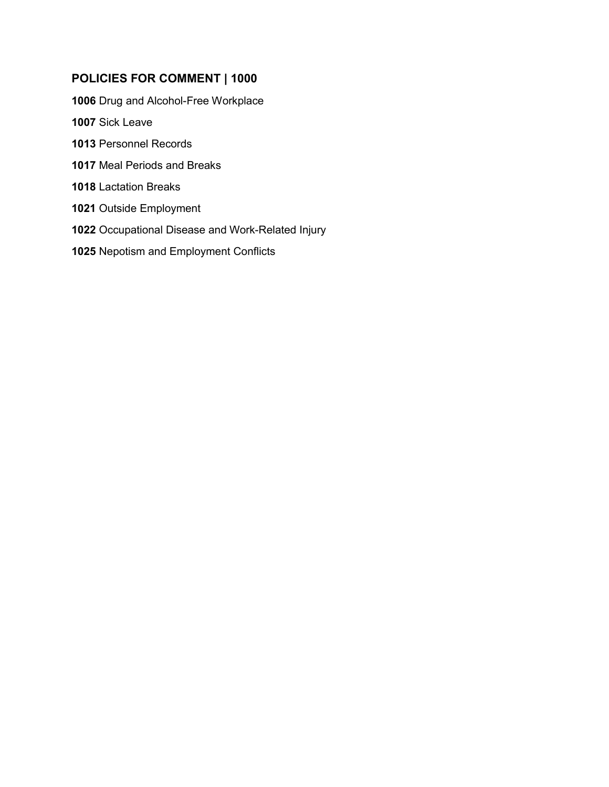## **POLICIES FOR COMMENT | 1000**

[Drug and Alcohol-Free Workplace](#page-1-0)

- [Sick Leave](#page-4-0)
- [Personnel Records](#page-6-0)
- [Meal Periods](#page-11-0) and Breaks
- [Lactation Breaks](#page-12-0)
- [Outside Employment](#page-14-0)
- [Occupational Disease and](#page-19-0) Work-Related Injury
- [Nepotism and Employ](#page--1-0)ment Conflicts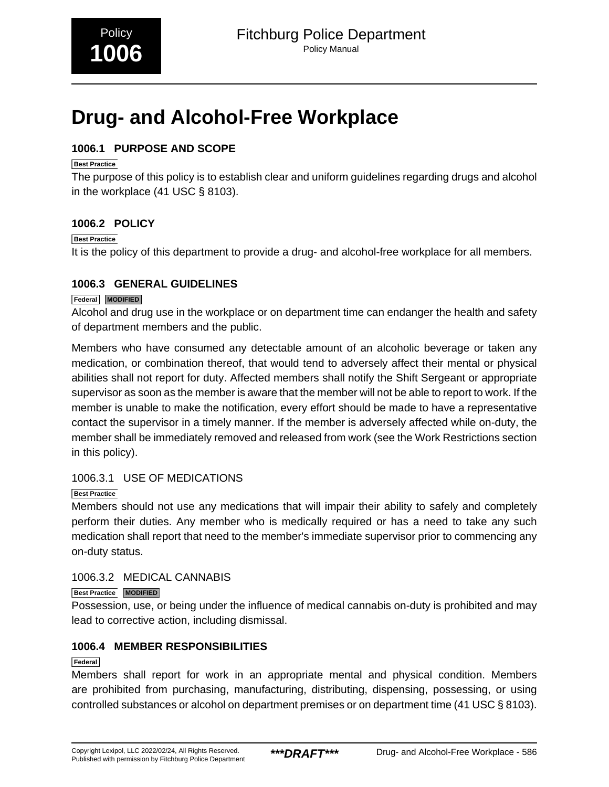# <span id="page-1-0"></span>**Drug- and Alcohol-Free Workplace**

## **1006.1 PURPOSE AND SCOPE**

### **Best Practice**

The purpose of this policy is to establish clear and uniform guidelines regarding drugs and alcohol in the workplace (41 USC § 8103).

## **1006.2 POLICY**

#### **Best Practice**

It is the policy of this department to provide a drug- and alcohol-free workplace for all members.

## **1006.3 GENERAL GUIDELINES**

#### **Federal MODIFIED**

Alcohol and drug use in the workplace or on department time can endanger the health and safety of department members and the public.

Members who have consumed any detectable amount of an alcoholic beverage or taken any medication, or combination thereof, that would tend to adversely affect their mental or physical abilities shall not report for duty. Affected members shall notify the Shift Sergeant or appropriate supervisor as soon as the member is aware that the member will not be able to report to work. If the member is unable to make the notification, every effort should be made to have a representative contact the supervisor in a timely manner. If the member is adversely affected while on-duty, the member shall be immediately removed and released from work (see the Work Restrictions section in this policy).

## 1006.3.1 USE OF MEDICATIONS

## **Best Practice**

Members should not use any medications that will impair their ability to safely and completely perform their duties. Any member who is medically required or has a need to take any such medication shall report that need to the member's immediate supervisor prior to commencing any on-duty status.

## 1006.3.2 MEDICAL CANNABIS

#### **Best Practice MODIFIED**

Possession, use, or being under the influence of medical cannabis on-duty is prohibited and may lead to corrective action, including dismissal.

## **1006.4 MEMBER RESPONSIBILITIES**

#### **Federal**

Members shall report for work in an appropriate mental and physical condition. Members are prohibited from purchasing, manufacturing, distributing, dispensing, possessing, or using controlled substances or alcohol on department premises or on department time (41 USC § 8103).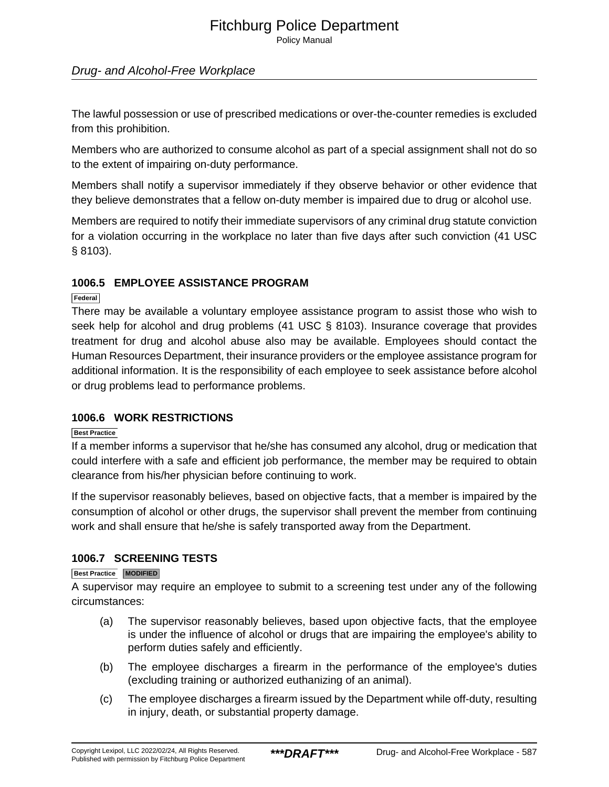Policy Manual

## Drug- and Alcohol-Free Workplace

The lawful possession or use of prescribed medications or over-the-counter remedies is excluded from this prohibition.

Members who are authorized to consume alcohol as part of a special assignment shall not do so to the extent of impairing on-duty performance.

Members shall notify a supervisor immediately if they observe behavior or other evidence that they believe demonstrates that a fellow on-duty member is impaired due to drug or alcohol use.

Members are required to notify their immediate supervisors of any criminal drug statute conviction for a violation occurring in the workplace no later than five days after such conviction (41 USC § 8103).

#### **1006.5 EMPLOYEE ASSISTANCE PROGRAM**

#### **Federal**

There may be available a voluntary employee assistance program to assist those who wish to seek help for alcohol and drug problems (41 USC § 8103). Insurance coverage that provides treatment for drug and alcohol abuse also may be available. Employees should contact the Human Resources Department, their insurance providers or the employee assistance program for additional information. It is the responsibility of each employee to seek assistance before alcohol or drug problems lead to performance problems.

#### **1006.6 WORK RESTRICTIONS**

#### **Best Practice**

If a member informs a supervisor that he/she has consumed any alcohol, drug or medication that could interfere with a safe and efficient job performance, the member may be required to obtain clearance from his/her physician before continuing to work.

If the supervisor reasonably believes, based on objective facts, that a member is impaired by the consumption of alcohol or other drugs, the supervisor shall prevent the member from continuing work and shall ensure that he/she is safely transported away from the Department.

#### **1006.7 SCREENING TESTS**

#### **Best Practice MODIFIED**

A supervisor may require an employee to submit to a screening test under any of the following circumstances:

- (a) The supervisor reasonably believes, based upon objective facts, that the employee is under the influence of alcohol or drugs that are impairing the employee's ability to perform duties safely and efficiently.
- (b) The employee discharges a firearm in the performance of the employee's duties (excluding training or authorized euthanizing of an animal).
- (c) The employee discharges a firearm issued by the Department while off-duty, resulting in injury, death, or substantial property damage.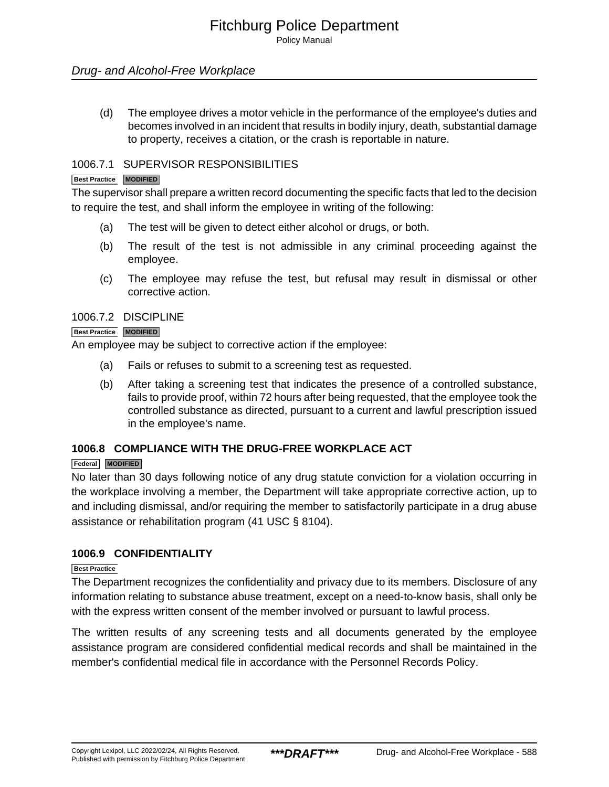Policy Manual

## Drug- and Alcohol-Free Workplace

(d) The employee drives a motor vehicle in the performance of the employee's duties and becomes involved in an incident that results in bodily injury, death, substantial damage to property, receives a citation, or the crash is reportable in nature.

#### 1006.7.1 SUPERVISOR RESPONSIBILITIES

#### **Best Practice MODIFIED**

The supervisor shall prepare a written record documenting the specific facts that led to the decision to require the test, and shall inform the employee in writing of the following:

- (a) The test will be given to detect either alcohol or drugs, or both.
- (b) The result of the test is not admissible in any criminal proceeding against the employee.
- (c) The employee may refuse the test, but refusal may result in dismissal or other corrective action.

#### 1006.7.2 DISCIPLINE

#### **Best Practice MODIFIED**

An employee may be subject to corrective action if the employee:

- (a) Fails or refuses to submit to a screening test as requested.
- (b) After taking a screening test that indicates the presence of a controlled substance, fails to provide proof, within 72 hours after being requested, that the employee took the controlled substance as directed, pursuant to a current and lawful prescription issued in the employee's name.

#### **1006.8 COMPLIANCE WITH THE DRUG-FREE WORKPLACE ACT**

#### **Federal MODIFIED**

No later than 30 days following notice of any drug statute conviction for a violation occurring in the workplace involving a member, the Department will take appropriate corrective action, up to and including dismissal, and/or requiring the member to satisfactorily participate in a drug abuse assistance or rehabilitation program (41 USC § 8104).

#### **1006.9 CONFIDENTIALITY**

#### **Best Practice**

The Department recognizes the confidentiality and privacy due to its members. Disclosure of any information relating to substance abuse treatment, except on a need-to-know basis, shall only be with the express written consent of the member involved or pursuant to lawful process.

The written results of any screening tests and all documents generated by the employee assistance program are considered confidential medical records and shall be maintained in the member's confidential medical file in accordance with the Personnel Records Policy.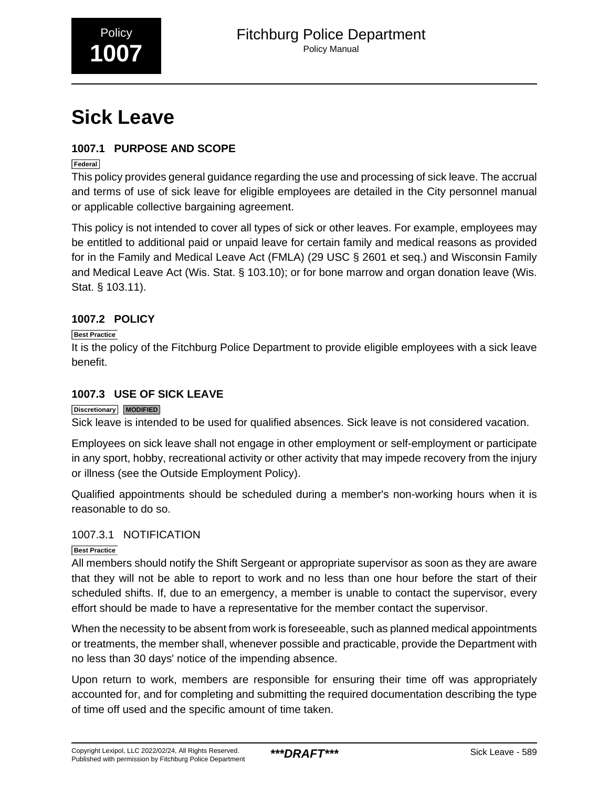<span id="page-4-0"></span>

# **Sick Leave**

## **1007.1 PURPOSE AND SCOPE**

#### **Federal**

This policy provides general guidance regarding the use and processing of sick leave. The accrual and terms of use of sick leave for eligible employees are detailed in the City personnel manual or applicable collective bargaining agreement.

This policy is not intended to cover all types of sick or other leaves. For example, employees may be entitled to additional paid or unpaid leave for certain family and medical reasons as provided for in the Family and Medical Leave Act (FMLA) (29 USC § 2601 et seq.) and Wisconsin Family and Medical Leave Act (Wis. Stat. § 103.10); or for bone marrow and organ donation leave (Wis. Stat. § 103.11).

## **1007.2 POLICY**

## **Best Practice**

It is the policy of the Fitchburg Police Department to provide eligible employees with a sick leave benefit.

## **1007.3 USE OF SICK LEAVE**

#### **Discretionary MODIFIED**

Sick leave is intended to be used for qualified absences. Sick leave is not considered vacation.

Employees on sick leave shall not engage in other employment or self-employment or participate in any sport, hobby, recreational activity or other activity that may impede recovery from the injury or illness (see the Outside Employment Policy).

Qualified appointments should be scheduled during a member's non-working hours when it is reasonable to do so.

#### 1007.3.1 NOTIFICATION

#### **Best Practice**

All members should notify the Shift Sergeant or appropriate supervisor as soon as they are aware that they will not be able to report to work and no less than one hour before the start of their scheduled shifts. If, due to an emergency, a member is unable to contact the supervisor, every effort should be made to have a representative for the member contact the supervisor.

When the necessity to be absent from work is foreseeable, such as planned medical appointments or treatments, the member shall, whenever possible and practicable, provide the Department with no less than 30 days' notice of the impending absence.

Upon return to work, members are responsible for ensuring their time off was appropriately accounted for, and for completing and submitting the required documentation describing the type of time off used and the specific amount of time taken.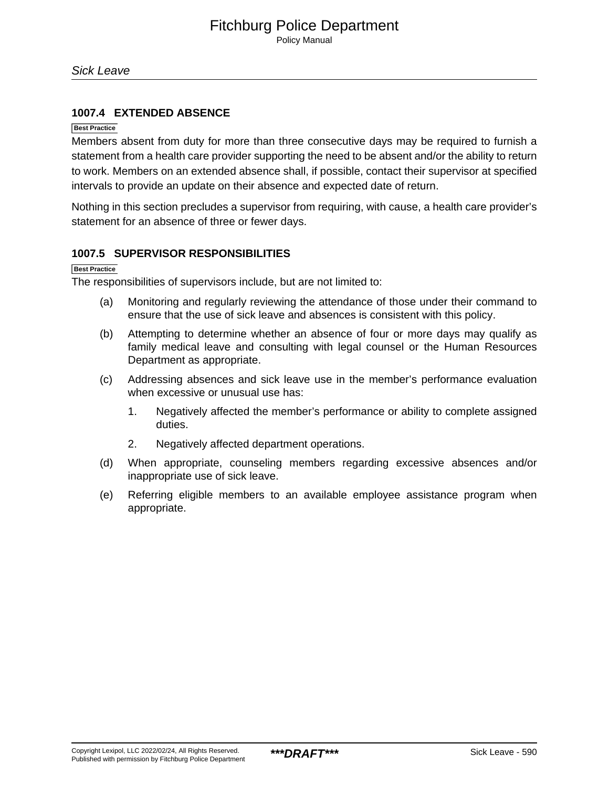#### **1007.4 EXTENDED ABSENCE**

#### **Best Practice**

Members absent from duty for more than three consecutive days may be required to furnish a statement from a health care provider supporting the need to be absent and/or the ability to return to work. Members on an extended absence shall, if possible, contact their supervisor at specified intervals to provide an update on their absence and expected date of return.

Nothing in this section precludes a supervisor from requiring, with cause, a health care provider's statement for an absence of three or fewer days.

#### **1007.5 SUPERVISOR RESPONSIBILITIES**

**Best Practice**

The responsibilities of supervisors include, but are not limited to:

- (a) Monitoring and regularly reviewing the attendance of those under their command to ensure that the use of sick leave and absences is consistent with this policy.
- (b) Attempting to determine whether an absence of four or more days may qualify as family medical leave and consulting with legal counsel or the Human Resources Department as appropriate.
- (c) Addressing absences and sick leave use in the member's performance evaluation when excessive or unusual use has:
	- 1. Negatively affected the member's performance or ability to complete assigned duties.
	- 2. Negatively affected department operations.
- (d) When appropriate, counseling members regarding excessive absences and/or inappropriate use of sick leave.
- (e) Referring eligible members to an available employee assistance program when appropriate.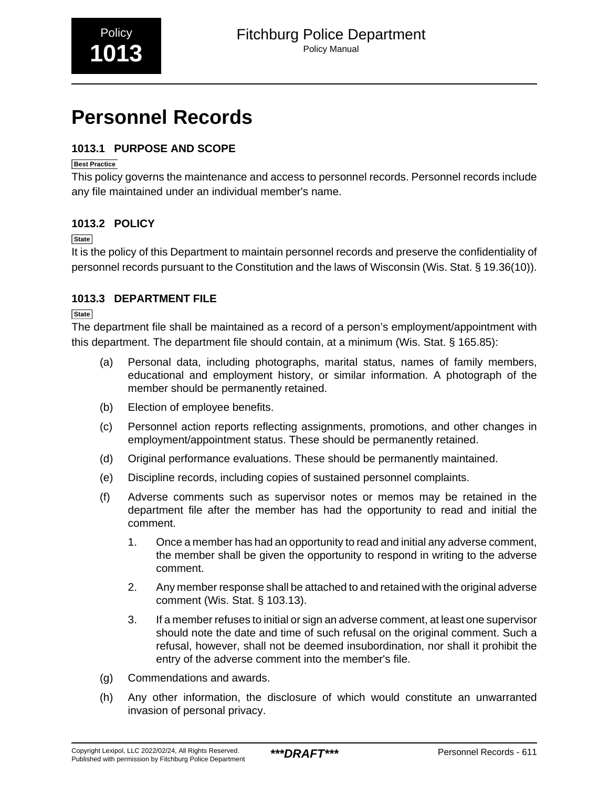# <span id="page-6-0"></span>**Personnel Records**

## **1013.1 PURPOSE AND SCOPE**

#### **Best Practice**

This policy governs the maintenance and access to personnel records. Personnel records include any file maintained under an individual member's name.

## **1013.2 POLICY**

#### **State**

It is the policy of this Department to maintain personnel records and preserve the confidentiality of personnel records pursuant to the Constitution and the laws of Wisconsin (Wis. Stat. § 19.36(10)).

## **1013.3 DEPARTMENT FILE**

**State**

The department file shall be maintained as a record of a person's employment/appointment with this department. The department file should contain, at a minimum (Wis. Stat. § 165.85):

- (a) Personal data, including photographs, marital status, names of family members, educational and employment history, or similar information. A photograph of the member should be permanently retained.
- (b) Election of employee benefits.
- (c) Personnel action reports reflecting assignments, promotions, and other changes in employment/appointment status. These should be permanently retained.
- (d) Original performance evaluations. These should be permanently maintained.
- (e) Discipline records, including copies of sustained personnel complaints.
- (f) Adverse comments such as supervisor notes or memos may be retained in the department file after the member has had the opportunity to read and initial the comment.
	- 1. Once a member has had an opportunity to read and initial any adverse comment, the member shall be given the opportunity to respond in writing to the adverse comment.
	- 2. Any member response shall be attached to and retained with the original adverse comment (Wis. Stat. § 103.13).
	- 3. If a member refuses to initial or sign an adverse comment, at least one supervisor should note the date and time of such refusal on the original comment. Such a refusal, however, shall not be deemed insubordination, nor shall it prohibit the entry of the adverse comment into the member's file.
- (g) Commendations and awards.
- (h) Any other information, the disclosure of which would constitute an unwarranted invasion of personal privacy.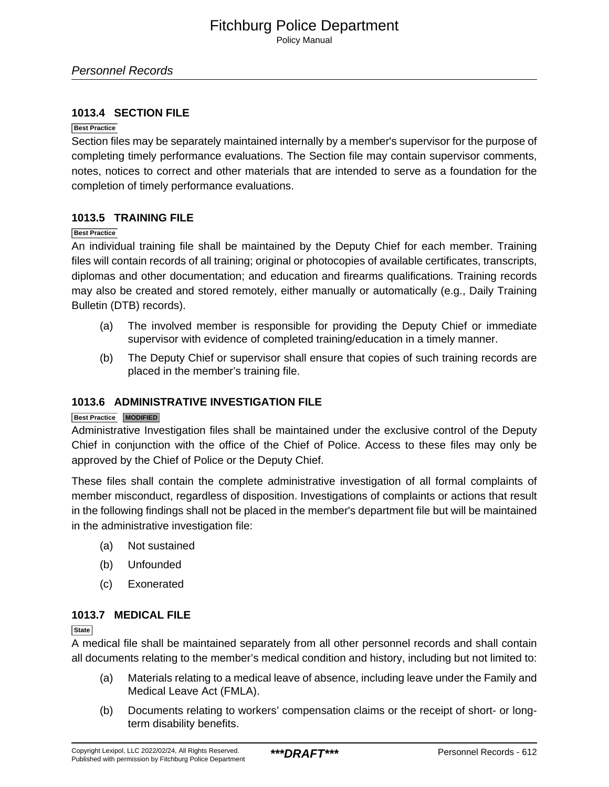Personnel Records

#### **1013.4 SECTION FILE**

#### **Best Practice**

Section files may be separately maintained internally by a member's supervisor for the purpose of completing timely performance evaluations. The Section file may contain supervisor comments, notes, notices to correct and other materials that are intended to serve as a foundation for the completion of timely performance evaluations.

#### **1013.5 TRAINING FILE**

#### **Best Practice**

An individual training file shall be maintained by the Deputy Chief for each member. Training files will contain records of all training; original or photocopies of available certificates, transcripts, diplomas and other documentation; and education and firearms qualifications. Training records may also be created and stored remotely, either manually or automatically (e.g., Daily Training Bulletin (DTB) records).

- (a) The involved member is responsible for providing the Deputy Chief or immediate supervisor with evidence of completed training/education in a timely manner.
- (b) The Deputy Chief or supervisor shall ensure that copies of such training records are placed in the member's training file.

#### **1013.6 ADMINISTRATIVE INVESTIGATION FILE**

#### **Best Practice MODIFIED**

Administrative Investigation files shall be maintained under the exclusive control of the Deputy Chief in conjunction with the office of the Chief of Police. Access to these files may only be approved by the Chief of Police or the Deputy Chief.

These files shall contain the complete administrative investigation of all formal complaints of member misconduct, regardless of disposition. Investigations of complaints or actions that result in the following findings shall not be placed in the member's department file but will be maintained in the administrative investigation file:

- (a) Not sustained
- (b) Unfounded
- (c) Exonerated

#### **1013.7 MEDICAL FILE**

**State**

A medical file shall be maintained separately from all other personnel records and shall contain all documents relating to the member's medical condition and history, including but not limited to:

- (a) Materials relating to a medical leave of absence, including leave under the Family and Medical Leave Act (FMLA).
- (b) Documents relating to workers' compensation claims or the receipt of short- or longterm disability benefits.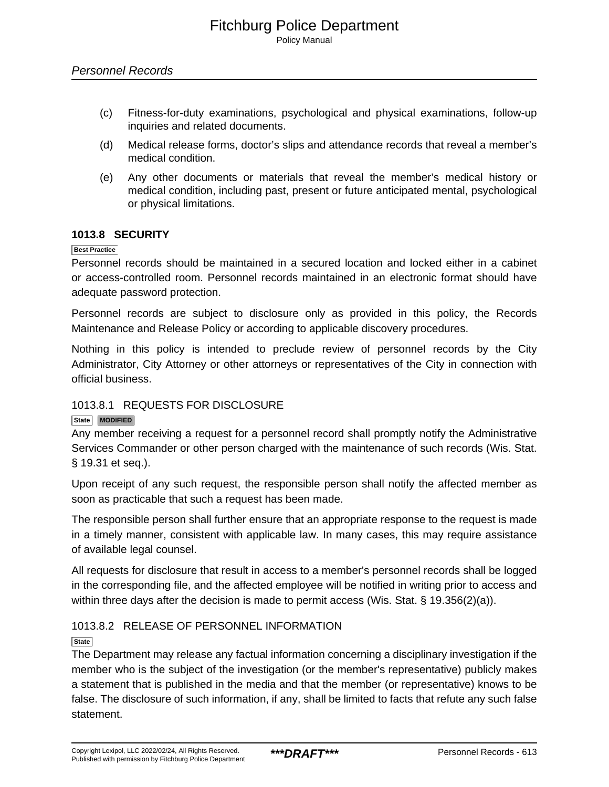- (c) Fitness-for-duty examinations, psychological and physical examinations, follow-up inquiries and related documents.
- (d) Medical release forms, doctor's slips and attendance records that reveal a member's medical condition.
- (e) Any other documents or materials that reveal the member's medical history or medical condition, including past, present or future anticipated mental, psychological or physical limitations.

#### **1013.8 SECURITY**

#### **Best Practice**

Personnel records should be maintained in a secured location and locked either in a cabinet or access-controlled room. Personnel records maintained in an electronic format should have adequate password protection.

Personnel records are subject to disclosure only as provided in this policy, the Records Maintenance and Release Policy or according to applicable discovery procedures.

Nothing in this policy is intended to preclude review of personnel records by the City Administrator, City Attorney or other attorneys or representatives of the City in connection with official business.

#### 1013.8.1 REQUESTS FOR DISCLOSURE

#### **State MODIFIED**

Any member receiving a request for a personnel record shall promptly notify the Administrative Services Commander or other person charged with the maintenance of such records (Wis. Stat. § 19.31 et seq.).

Upon receipt of any such request, the responsible person shall notify the affected member as soon as practicable that such a request has been made.

The responsible person shall further ensure that an appropriate response to the request is made in a timely manner, consistent with applicable law. In many cases, this may require assistance of available legal counsel.

All requests for disclosure that result in access to a member's personnel records shall be logged in the corresponding file, and the affected employee will be notified in writing prior to access and within three days after the decision is made to permit access (Wis. Stat. § 19.356(2)(a)).

#### 1013.8.2 RELEASE OF PERSONNEL INFORMATION

#### **State**

The Department may release any factual information concerning a disciplinary investigation if the member who is the subject of the investigation (or the member's representative) publicly makes a statement that is published in the media and that the member (or representative) knows to be false. The disclosure of such information, if any, shall be limited to facts that refute any such false statement.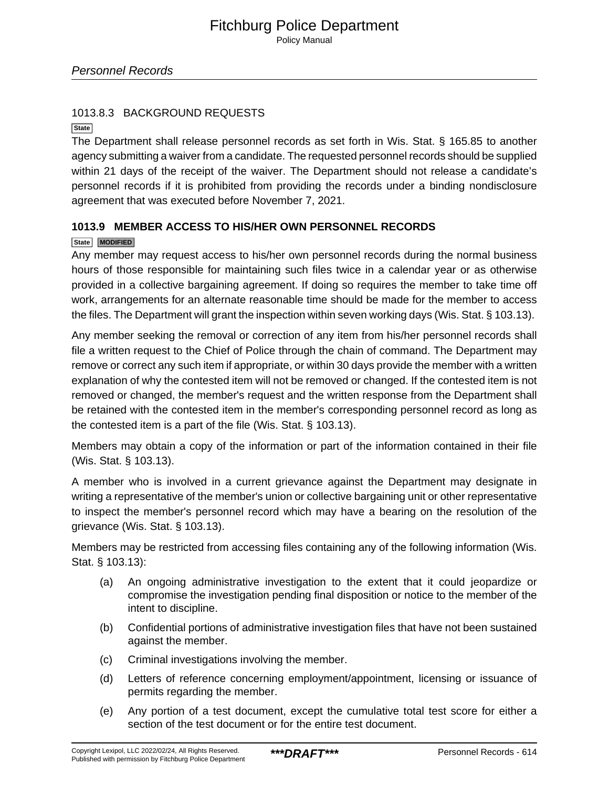### 1013.8.3 BACKGROUND REQUESTS

**State**

The Department shall release personnel records as set forth in Wis. Stat. § 165.85 to another agency submitting a waiver from a candidate. The requested personnel records should be supplied within 21 days of the receipt of the waiver. The Department should not release a candidate's personnel records if it is prohibited from providing the records under a binding nondisclosure agreement that was executed before November 7, 2021.

## **1013.9 MEMBER ACCESS TO HIS/HER OWN PERSONNEL RECORDS**

#### **State MODIFIED**

Any member may request access to his/her own personnel records during the normal business hours of those responsible for maintaining such files twice in a calendar year or as otherwise provided in a collective bargaining agreement. If doing so requires the member to take time off work, arrangements for an alternate reasonable time should be made for the member to access the files. The Department will grant the inspection within seven working days (Wis. Stat. § 103.13).

Any member seeking the removal or correction of any item from his/her personnel records shall file a written request to the Chief of Police through the chain of command. The Department may remove or correct any such item if appropriate, or within 30 days provide the member with a written explanation of why the contested item will not be removed or changed. If the contested item is not removed or changed, the member's request and the written response from the Department shall be retained with the contested item in the member's corresponding personnel record as long as the contested item is a part of the file (Wis. Stat. § 103.13).

Members may obtain a copy of the information or part of the information contained in their file (Wis. Stat. § 103.13).

A member who is involved in a current grievance against the Department may designate in writing a representative of the member's union or collective bargaining unit or other representative to inspect the member's personnel record which may have a bearing on the resolution of the grievance (Wis. Stat. § 103.13).

Members may be restricted from accessing files containing any of the following information (Wis. Stat. § 103.13):

- (a) An ongoing administrative investigation to the extent that it could jeopardize or compromise the investigation pending final disposition or notice to the member of the intent to discipline.
- (b) Confidential portions of administrative investigation files that have not been sustained against the member.
- (c) Criminal investigations involving the member.
- (d) Letters of reference concerning employment/appointment, licensing or issuance of permits regarding the member.
- (e) Any portion of a test document, except the cumulative total test score for either a section of the test document or for the entire test document.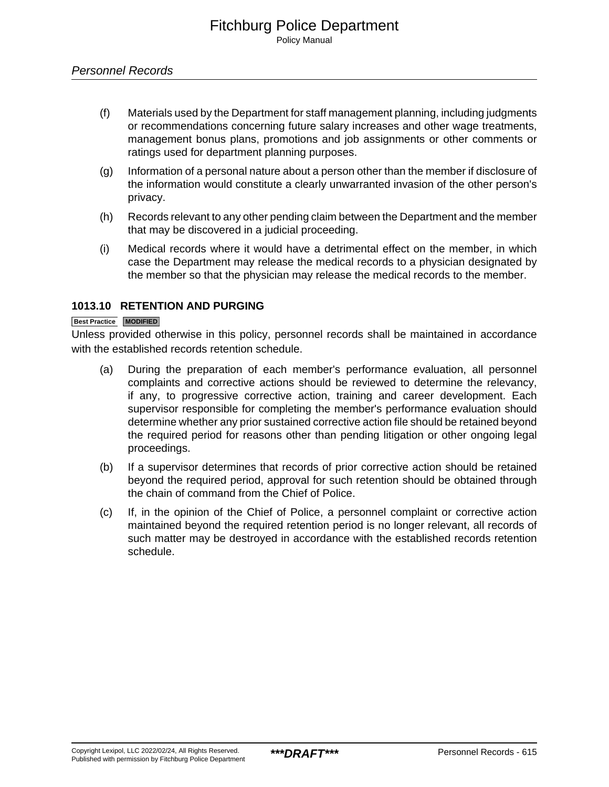## Personnel Records

- (f) Materials used by the Department for staff management planning, including judgments or recommendations concerning future salary increases and other wage treatments, management bonus plans, promotions and job assignments or other comments or ratings used for department planning purposes.
- (g) Information of a personal nature about a person other than the member if disclosure of the information would constitute a clearly unwarranted invasion of the other person's privacy.
- (h) Records relevant to any other pending claim between the Department and the member that may be discovered in a judicial proceeding.
- (i) Medical records where it would have a detrimental effect on the member, in which case the Department may release the medical records to a physician designated by the member so that the physician may release the medical records to the member.

## **1013.10 RETENTION AND PURGING**

#### **Best Practice MODIFIED**

Unless provided otherwise in this policy, personnel records shall be maintained in accordance with the established records retention schedule.

- (a) During the preparation of each member's performance evaluation, all personnel complaints and corrective actions should be reviewed to determine the relevancy, if any, to progressive corrective action, training and career development. Each supervisor responsible for completing the member's performance evaluation should determine whether any prior sustained corrective action file should be retained beyond the required period for reasons other than pending litigation or other ongoing legal proceedings.
- (b) If a supervisor determines that records of prior corrective action should be retained beyond the required period, approval for such retention should be obtained through the chain of command from the Chief of Police.
- (c) If, in the opinion of the Chief of Police, a personnel complaint or corrective action maintained beyond the required retention period is no longer relevant, all records of such matter may be destroyed in accordance with the established records retention schedule.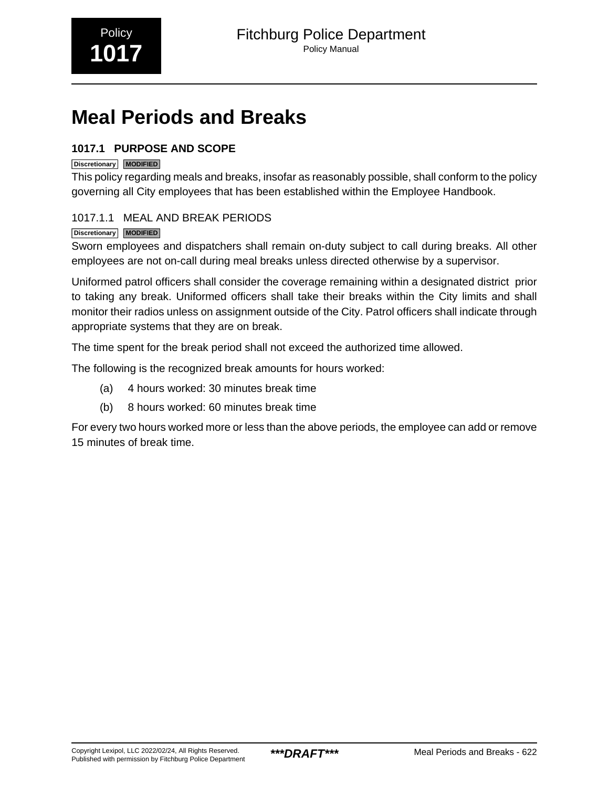# <span id="page-11-0"></span>**Meal Periods and Breaks**

## **1017.1 PURPOSE AND SCOPE**

## **Discretionary MODIFIED**

This policy regarding meals and breaks, insofar as reasonably possible, shall conform to the policy governing all City employees that has been established within the Employee Handbook.

## 1017.1.1 MEAL AND BREAK PERIODS

## **Discretionary MODIFIED**

Sworn employees and dispatchers shall remain on-duty subject to call during breaks. All other employees are not on-call during meal breaks unless directed otherwise by a supervisor.

Uniformed patrol officers shall consider the coverage remaining within a designated district prior to taking any break. Uniformed officers shall take their breaks within the City limits and shall monitor their radios unless on assignment outside of the City. Patrol officers shall indicate through appropriate systems that they are on break.

The time spent for the break period shall not exceed the authorized time allowed.

The following is the recognized break amounts for hours worked:

- (a) 4 hours worked: 30 minutes break time
- (b) 8 hours worked: 60 minutes break time

For every two hours worked more or less than the above periods, the employee can add or remove 15 minutes of break time.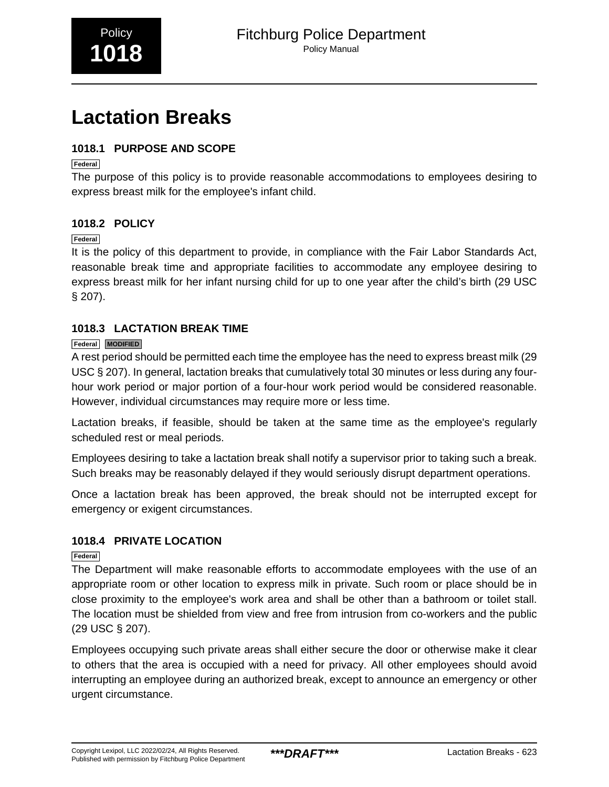# <span id="page-12-0"></span>**Lactation Breaks**

## **1018.1 PURPOSE AND SCOPE**

**Federal**

The purpose of this policy is to provide reasonable accommodations to employees desiring to express breast milk for the employee's infant child.

## **1018.2 POLICY**

#### **Federal**

It is the policy of this department to provide, in compliance with the Fair Labor Standards Act, reasonable break time and appropriate facilities to accommodate any employee desiring to express breast milk for her infant nursing child for up to one year after the child's birth (29 USC § 207).

## **1018.3 LACTATION BREAK TIME**

## **Federal MODIFIED**

A rest period should be permitted each time the employee has the need to express breast milk (29 USC § 207). In general, lactation breaks that cumulatively total 30 minutes or less during any fourhour work period or major portion of a four-hour work period would be considered reasonable. However, individual circumstances may require more or less time.

Lactation breaks, if feasible, should be taken at the same time as the employee's regularly scheduled rest or meal periods.

Employees desiring to take a lactation break shall notify a supervisor prior to taking such a break. Such breaks may be reasonably delayed if they would seriously disrupt department operations.

Once a lactation break has been approved, the break should not be interrupted except for emergency or exigent circumstances.

## **1018.4 PRIVATE LOCATION**

## **Federal**

The Department will make reasonable efforts to accommodate employees with the use of an appropriate room or other location to express milk in private. Such room or place should be in close proximity to the employee's work area and shall be other than a bathroom or toilet stall. The location must be shielded from view and free from intrusion from co-workers and the public (29 USC § 207).

Employees occupying such private areas shall either secure the door or otherwise make it clear to others that the area is occupied with a need for privacy. All other employees should avoid interrupting an employee during an authorized break, except to announce an emergency or other urgent circumstance.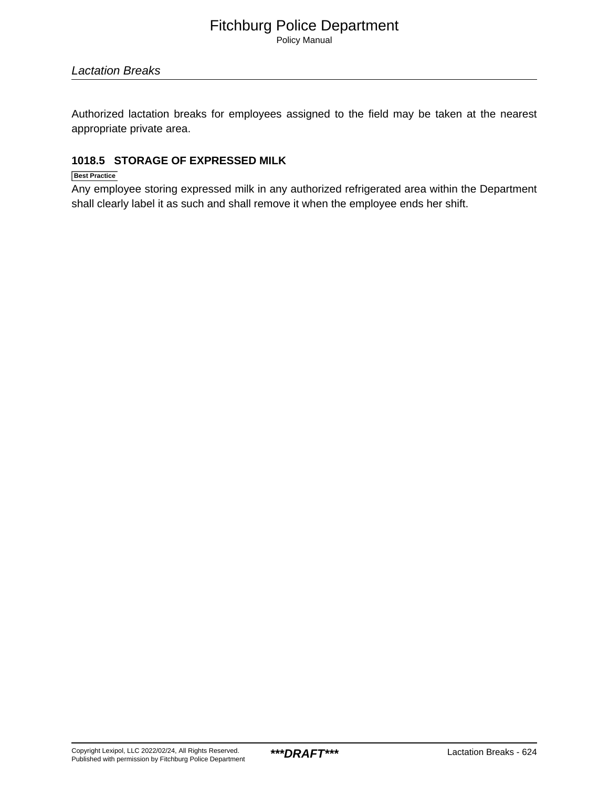Policy Manual

Authorized lactation breaks for employees assigned to the field may be taken at the nearest appropriate private area.

## **1018.5 STORAGE OF EXPRESSED MILK**

#### **Best Practice**

Any employee storing expressed milk in any authorized refrigerated area within the Department shall clearly label it as such and shall remove it when the employee ends her shift.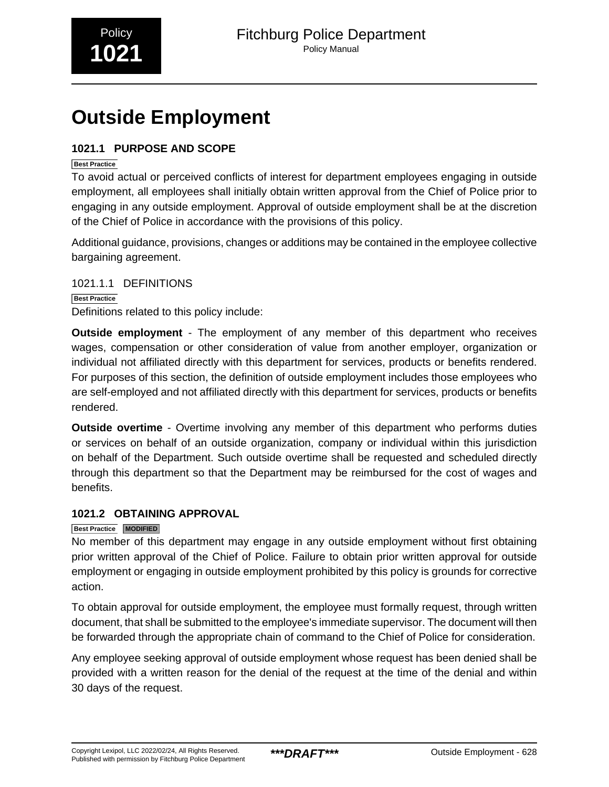# <span id="page-14-0"></span>**Outside Employment**

## **1021.1 PURPOSE AND SCOPE**

### **Best Practice**

To avoid actual or perceived conflicts of interest for department employees engaging in outside employment, all employees shall initially obtain written approval from the Chief of Police prior to engaging in any outside employment. Approval of outside employment shall be at the discretion of the Chief of Police in accordance with the provisions of this policy.

Additional guidance, provisions, changes or additions may be contained in the employee collective bargaining agreement.

1021.1.1 DEFINITIONS **Best Practice** Definitions related to this policy include:

**Outside employment** - The employment of any member of this department who receives wages, compensation or other consideration of value from another employer, organization or individual not affiliated directly with this department for services, products or benefits rendered. For purposes of this section, the definition of outside employment includes those employees who are self-employed and not affiliated directly with this department for services, products or benefits rendered.

**Outside overtime** - Overtime involving any member of this department who performs duties or services on behalf of an outside organization, company or individual within this jurisdiction on behalf of the Department. Such outside overtime shall be requested and scheduled directly through this department so that the Department may be reimbursed for the cost of wages and benefits.

## **1021.2 OBTAINING APPROVAL**

## **Best Practice MODIFIED**

No member of this department may engage in any outside employment without first obtaining prior written approval of the Chief of Police. Failure to obtain prior written approval for outside employment or engaging in outside employment prohibited by this policy is grounds for corrective action.

To obtain approval for outside employment, the employee must formally request, through written document, that shall be submitted to the employee's immediate supervisor. The document will then be forwarded through the appropriate chain of command to the Chief of Police for consideration.

Any employee seeking approval of outside employment whose request has been denied shall be provided with a written reason for the denial of the request at the time of the denial and within 30 days of the request.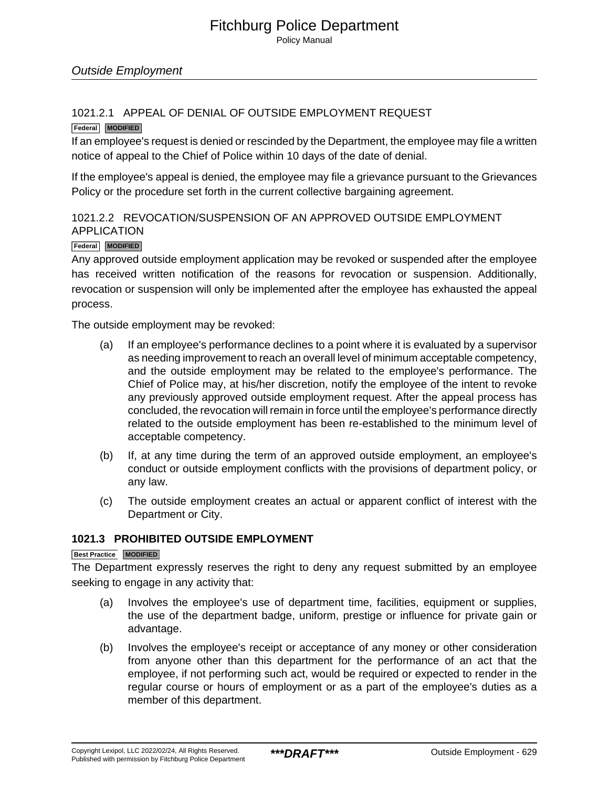Policy Manual

## 1021.2.1 APPEAL OF DENIAL OF OUTSIDE EMPLOYMENT REQUEST

#### **Federal MODIFIED**

If an employee's request is denied or rescinded by the Department, the employee may file a written notice of appeal to the Chief of Police within 10 days of the date of denial.

If the employee's appeal is denied, the employee may file a grievance pursuant to the Grievances Policy or the procedure set forth in the current collective bargaining agreement.

## 1021.2.2 REVOCATION/SUSPENSION OF AN APPROVED OUTSIDE EMPLOYMENT APPLICATION

#### **Federal MODIFIED**

Any approved outside employment application may be revoked or suspended after the employee has received written notification of the reasons for revocation or suspension. Additionally, revocation or suspension will only be implemented after the employee has exhausted the appeal process.

The outside employment may be revoked:

- (a) If an employee's performance declines to a point where it is evaluated by a supervisor as needing improvement to reach an overall level of minimum acceptable competency, and the outside employment may be related to the employee's performance. The Chief of Police may, at his/her discretion, notify the employee of the intent to revoke any previously approved outside employment request. After the appeal process has concluded, the revocation will remain in force until the employee's performance directly related to the outside employment has been re-established to the minimum level of acceptable competency.
- (b) If, at any time during the term of an approved outside employment, an employee's conduct or outside employment conflicts with the provisions of department policy, or any law.
- (c) The outside employment creates an actual or apparent conflict of interest with the Department or City.

#### **1021.3 PROHIBITED OUTSIDE EMPLOYMENT**

#### **Best Practice MODIFIED**

The Department expressly reserves the right to deny any request submitted by an employee seeking to engage in any activity that:

- (a) Involves the employee's use of department time, facilities, equipment or supplies, the use of the department badge, uniform, prestige or influence for private gain or advantage.
- (b) Involves the employee's receipt or acceptance of any money or other consideration from anyone other than this department for the performance of an act that the employee, if not performing such act, would be required or expected to render in the regular course or hours of employment or as a part of the employee's duties as a member of this department.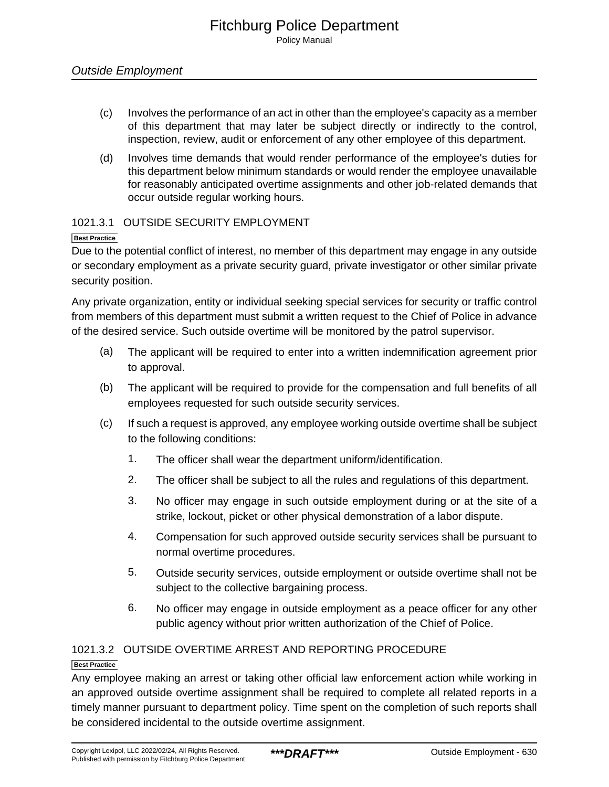- (c) Involves the performance of an act in other than the employee's capacity as a member of this department that may later be subject directly or indirectly to the control, inspection, review, audit or enforcement of any other employee of this department.
- (d) Involves time demands that would render performance of the employee's duties for this department below minimum standards or would render the employee unavailable for reasonably anticipated overtime assignments and other job-related demands that occur outside regular working hours.

## 1021.3.1 OUTSIDE SECURITY EMPLOYMENT

#### **Best Practice**

Due to the potential conflict of interest, no member of this department may engage in any outside or secondary employment as a private security guard, private investigator or other similar private security position.

Any private organization, entity or individual seeking special services for security or traffic control from members of this department must submit a written request to the Chief of Police in advance of the desired service. Such outside overtime will be monitored by the patrol supervisor.

- (a) The applicant will be required to enter into a written indemnification agreement prior to approval.
- (b) The applicant will be required to provide for the compensation and full benefits of all employees requested for such outside security services.
- (c) If such a request is approved, any employee working outside overtime shall be subject to the following conditions:
	- 1. The officer shall wear the department uniform/identification.
	- 2. The officer shall be subject to all the rules and regulations of this department.
	- 3. No officer may engage in such outside employment during or at the site of a strike, lockout, picket or other physical demonstration of a labor dispute.
	- 4. Compensation for such approved outside security services shall be pursuant to normal overtime procedures.
	- 5. Outside security services, outside employment or outside overtime shall not be subject to the collective bargaining process.
	- 6. No officer may engage in outside employment as a peace officer for any other public agency without prior written authorization of the Chief of Police.

## 1021.3.2 OUTSIDE OVERTIME ARREST AND REPORTING PROCEDURE

## **Best Practice**

Any employee making an arrest or taking other official law enforcement action while working in an approved outside overtime assignment shall be required to complete all related reports in a timely manner pursuant to department policy. Time spent on the completion of such reports shall be considered incidental to the outside overtime assignment.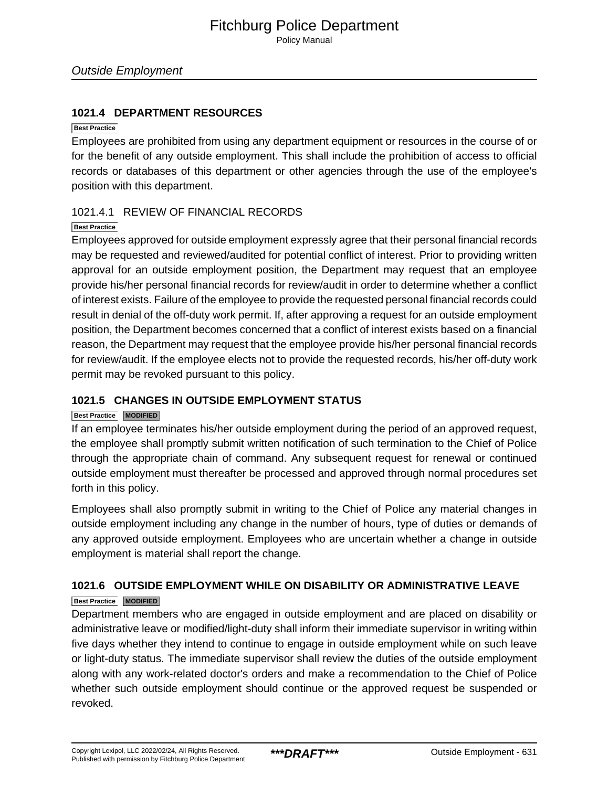## **1021.4 DEPARTMENT RESOURCES**

#### **Best Practice**

Employees are prohibited from using any department equipment or resources in the course of or for the benefit of any outside employment. This shall include the prohibition of access to official records or databases of this department or other agencies through the use of the employee's position with this department.

#### 1021.4.1 REVIEW OF FINANCIAL RECORDS

#### **Best Practice**

Employees approved for outside employment expressly agree that their personal financial records may be requested and reviewed/audited for potential conflict of interest. Prior to providing written approval for an outside employment position, the Department may request that an employee provide his/her personal financial records for review/audit in order to determine whether a conflict of interest exists. Failure of the employee to provide the requested personal financial records could result in denial of the off-duty work permit. If, after approving a request for an outside employment position, the Department becomes concerned that a conflict of interest exists based on a financial reason, the Department may request that the employee provide his/her personal financial records for review/audit. If the employee elects not to provide the requested records, his/her off-duty work permit may be revoked pursuant to this policy.

## **1021.5 CHANGES IN OUTSIDE EMPLOYMENT STATUS**

#### **Best Practice MODIFIED**

If an employee terminates his/her outside employment during the period of an approved request, the employee shall promptly submit written notification of such termination to the Chief of Police through the appropriate chain of command. Any subsequent request for renewal or continued outside employment must thereafter be processed and approved through normal procedures set forth in this policy.

Employees shall also promptly submit in writing to the Chief of Police any material changes in outside employment including any change in the number of hours, type of duties or demands of any approved outside employment. Employees who are uncertain whether a change in outside employment is material shall report the change.

## **1021.6 OUTSIDE EMPLOYMENT WHILE ON DISABILITY OR ADMINISTRATIVE LEAVE**

#### **Best Practice MODIFIED**

Department members who are engaged in outside employment and are placed on disability or administrative leave or modified/light-duty shall inform their immediate supervisor in writing within five days whether they intend to continue to engage in outside employment while on such leave or light-duty status. The immediate supervisor shall review the duties of the outside employment along with any work-related doctor's orders and make a recommendation to the Chief of Police whether such outside employment should continue or the approved request be suspended or revoked.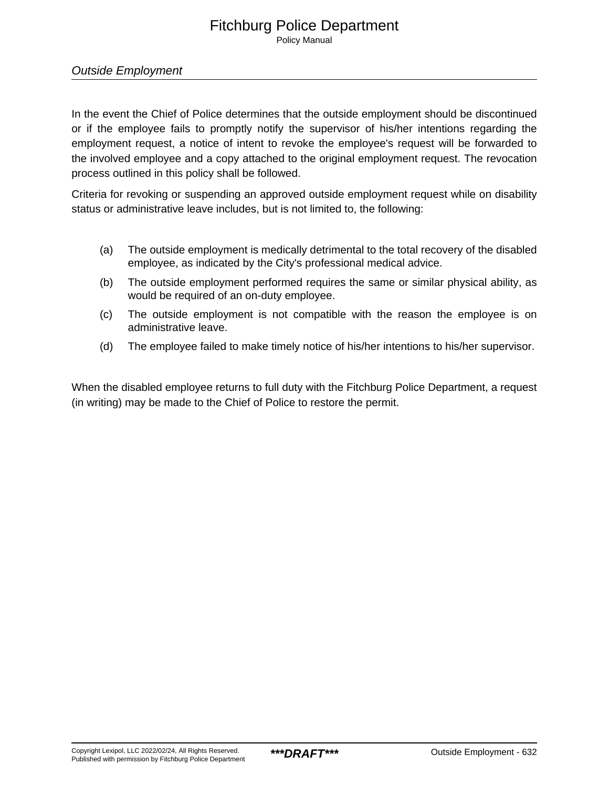Policy Manual

## Outside Employment

In the event the Chief of Police determines that the outside employment should be discontinued or if the employee fails to promptly notify the supervisor of his/her intentions regarding the employment request, a notice of intent to revoke the employee's request will be forwarded to the involved employee and a copy attached to the original employment request. The revocation process outlined in this policy shall be followed.

Criteria for revoking or suspending an approved outside employment request while on disability status or administrative leave includes, but is not limited to, the following:

- (a) The outside employment is medically detrimental to the total recovery of the disabled employee, as indicated by the City's professional medical advice.
- (b) The outside employment performed requires the same or similar physical ability, as would be required of an on-duty employee.
- (c) The outside employment is not compatible with the reason the employee is on administrative leave.
- (d) The employee failed to make timely notice of his/her intentions to his/her supervisor.

When the disabled employee returns to full duty with the Fitchburg Police Department, a request (in writing) may be made to the Chief of Police to restore the permit.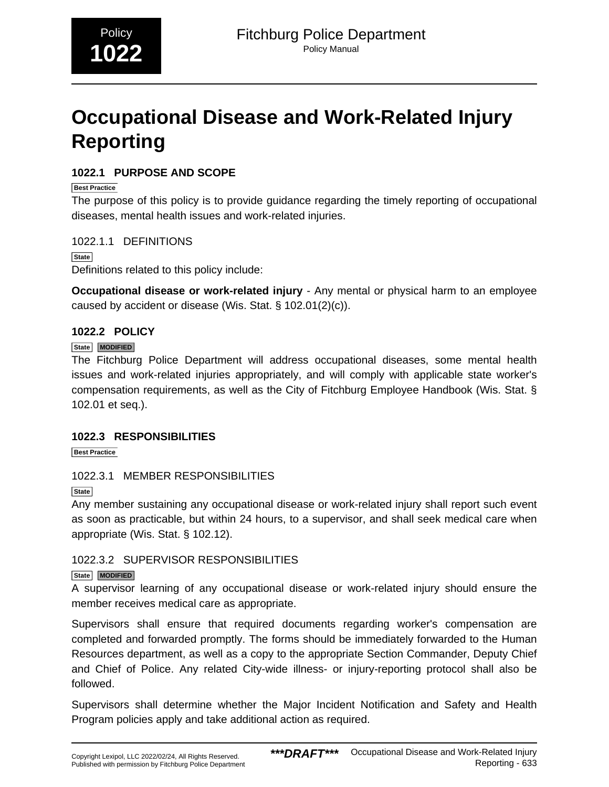# <span id="page-19-0"></span>**Occupational Disease and Work-Related Injury Reporting**

## **1022.1 PURPOSE AND SCOPE**

**Best Practice**

The purpose of this policy is to provide guidance regarding the timely reporting of occupational diseases, mental health issues and work-related injuries.

1022.1.1 DEFINITIONS

**State** Definitions related to this policy include:

**Occupational disease or work-related injury** - Any mental or physical harm to an employee caused by accident or disease (Wis. Stat. § 102.01(2)(c)).

## **1022.2 POLICY**

## **State MODIFIED**

The Fitchburg Police Department will address occupational diseases, some mental health issues and work-related injuries appropriately, and will comply with applicable state worker's compensation requirements, as well as the City of Fitchburg Employee Handbook (Wis. Stat. § 102.01 et seq.).

## **1022.3 RESPONSIBILITIES**

**Best Practice**

## 1022.3.1 MEMBER RESPONSIBILITIES

**State**

Any member sustaining any occupational disease or work-related injury shall report such event as soon as practicable, but within 24 hours, to a supervisor, and shall seek medical care when appropriate (Wis. Stat. § 102.12).

## 1022.3.2 SUPERVISOR RESPONSIBILITIES

## **State MODIFIED**

A supervisor learning of any occupational disease or work-related injury should ensure the member receives medical care as appropriate.

Supervisors shall ensure that required documents regarding worker's compensation are completed and forwarded promptly. The forms should be immediately forwarded to the Human Resources department, as well as a copy to the appropriate Section Commander, Deputy Chief and Chief of Police. Any related City-wide illness- or injury-reporting protocol shall also be followed.

Supervisors shall determine whether the Major Incident Notification and Safety and Health Program policies apply and take additional action as required.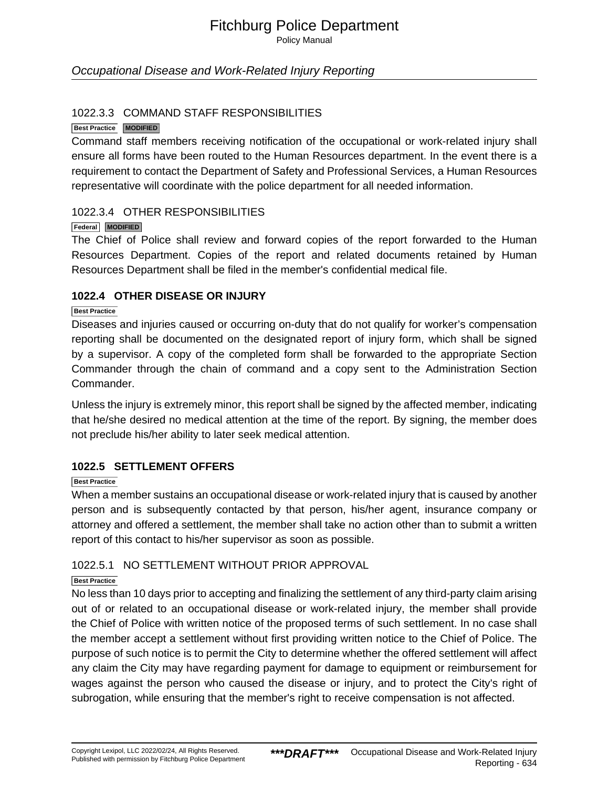Policy Manual

## Occupational Disease and Work-Related Injury Reporting

#### 1022.3.3 COMMAND STAFF RESPONSIBILITIES

#### **Best Practice MODIFIED**

Command staff members receiving notification of the occupational or work-related injury shall ensure all forms have been routed to the Human Resources department. In the event there is a requirement to contact the Department of Safety and Professional Services, a Human Resources representative will coordinate with the police department for all needed information.

#### 1022.3.4 OTHER RESPONSIBILITIES

#### **Federal MODIFIED**

The Chief of Police shall review and forward copies of the report forwarded to the Human Resources Department. Copies of the report and related documents retained by Human Resources Department shall be filed in the member's confidential medical file.

#### **1022.4 OTHER DISEASE OR INJURY**

#### **Best Practice**

Diseases and injuries caused or occurring on-duty that do not qualify for worker's compensation reporting shall be documented on the designated report of injury form, which shall be signed by a supervisor. A copy of the completed form shall be forwarded to the appropriate Section Commander through the chain of command and a copy sent to the Administration Section Commander.

Unless the injury is extremely minor, this report shall be signed by the affected member, indicating that he/she desired no medical attention at the time of the report. By signing, the member does not preclude his/her ability to later seek medical attention.

## **1022.5 SETTLEMENT OFFERS**

#### **Best Practice**

When a member sustains an occupational disease or work-related injury that is caused by another person and is subsequently contacted by that person, his/her agent, insurance company or attorney and offered a settlement, the member shall take no action other than to submit a written report of this contact to his/her supervisor as soon as possible.

#### 1022.5.1 NO SETTLEMENT WITHOUT PRIOR APPROVAL

#### **Best Practice**

No less than 10 days prior to accepting and finalizing the settlement of any third-party claim arising out of or related to an occupational disease or work-related injury, the member shall provide the Chief of Police with written notice of the proposed terms of such settlement. In no case shall the member accept a settlement without first providing written notice to the Chief of Police. The purpose of such notice is to permit the City to determine whether the offered settlement will affect any claim the City may have regarding payment for damage to equipment or reimbursement for wages against the person who caused the disease or injury, and to protect the City's right of subrogation, while ensuring that the member's right to receive compensation is not affected.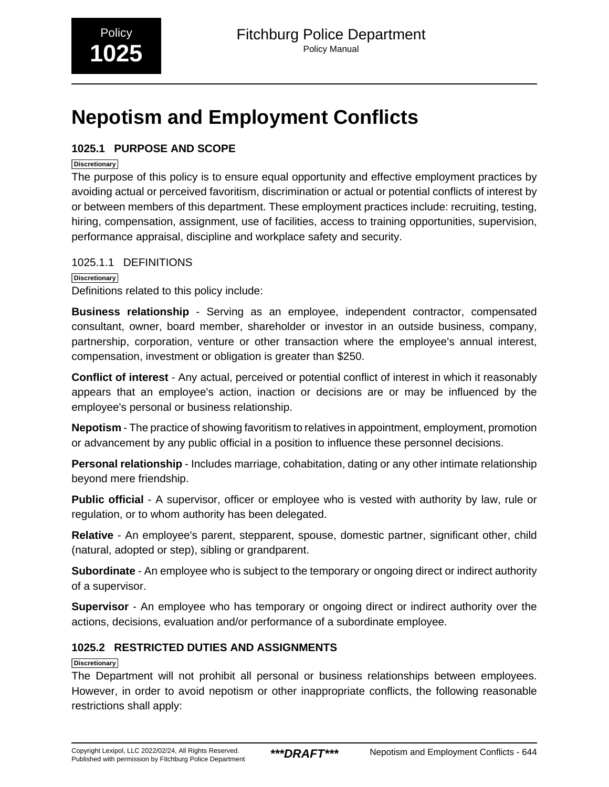# **Nepotism and Employment Conflicts**

## **1025.1 PURPOSE AND SCOPE**

#### **Discretionary**

The purpose of this policy is to ensure equal opportunity and effective employment practices by avoiding actual or perceived favoritism, discrimination or actual or potential conflicts of interest by or between members of this department. These employment practices include: recruiting, testing, hiring, compensation, assignment, use of facilities, access to training opportunities, supervision, performance appraisal, discipline and workplace safety and security.

## 1025.1.1 DEFINITIONS

**Discretionary** Definitions related to this policy include:

**Business relationship** - Serving as an employee, independent contractor, compensated consultant, owner, board member, shareholder or investor in an outside business, company, partnership, corporation, venture or other transaction where the employee's annual interest, compensation, investment or obligation is greater than \$250.

**Conflict of interest** - Any actual, perceived or potential conflict of interest in which it reasonably appears that an employee's action, inaction or decisions are or may be influenced by the employee's personal or business relationship.

**Nepotism** - The practice of showing favoritism to relatives in appointment, employment, promotion or advancement by any public official in a position to influence these personnel decisions.

**Personal relationship** - Includes marriage, cohabitation, dating or any other intimate relationship beyond mere friendship.

**Public official** - A supervisor, officer or employee who is vested with authority by law, rule or regulation, or to whom authority has been delegated.

**Relative** - An employee's parent, stepparent, spouse, domestic partner, significant other, child (natural, adopted or step), sibling or grandparent.

**Subordinate** - An employee who is subject to the temporary or ongoing direct or indirect authority of a supervisor.

**Supervisor** - An employee who has temporary or ongoing direct or indirect authority over the actions, decisions, evaluation and/or performance of a subordinate employee.

## **1025.2 RESTRICTED DUTIES AND ASSIGNMENTS**

**Discretionary**

The Department will not prohibit all personal or business relationships between employees. However, in order to avoid nepotism or other inappropriate conflicts, the following reasonable restrictions shall apply: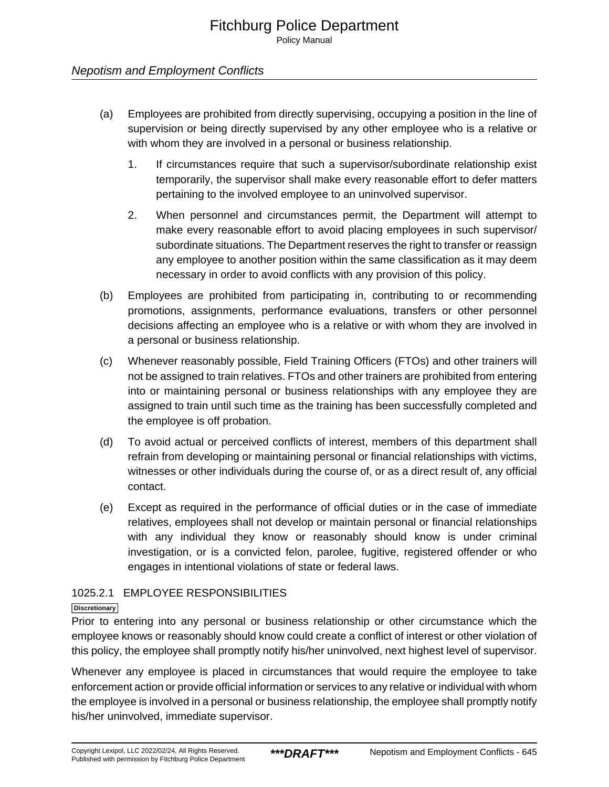Policy Manual

## Nepotism and Employment Conflicts

- (a) Employees are prohibited from directly supervising, occupying a position in the line of supervision or being directly supervised by any other employee who is a relative or with whom they are involved in a personal or business relationship.
	- 1. If circumstances require that such a supervisor/subordinate relationship exist temporarily, the supervisor shall make every reasonable effort to defer matters pertaining to the involved employee to an uninvolved supervisor.
	- 2. When personnel and circumstances permit, the Department will attempt to make every reasonable effort to avoid placing employees in such supervisor/ subordinate situations. The Department reserves the right to transfer or reassign any employee to another position within the same classification as it may deem necessary in order to avoid conflicts with any provision of this policy.
- (b) Employees are prohibited from participating in, contributing to or recommending promotions, assignments, performance evaluations, transfers or other personnel decisions affecting an employee who is a relative or with whom they are involved in a personal or business relationship.
- (c) Whenever reasonably possible, Field Training Officers (FTOs) and other trainers will not be assigned to train relatives. FTOs and other trainers are prohibited from entering into or maintaining personal or business relationships with any employee they are assigned to train until such time as the training has been successfully completed and the employee is off probation.
- (d) To avoid actual or perceived conflicts of interest, members of this department shall refrain from developing or maintaining personal or financial relationships with victims, witnesses or other individuals during the course of, or as a direct result of, any official contact.
- (e) Except as required in the performance of official duties or in the case of immediate relatives, employees shall not develop or maintain personal or financial relationships with any individual they know or reasonably should know is under criminal investigation, or is a convicted felon, parolee, fugitive, registered offender or who engages in intentional violations of state or federal laws.

## 1025.2.1 EMPLOYEE RESPONSIBILITIES

#### **Discretionary**

Prior to entering into any personal or business relationship or other circumstance which the employee knows or reasonably should know could create a conflict of interest or other violation of this policy, the employee shall promptly notify his/her uninvolved, next highest level of supervisor.

Whenever any employee is placed in circumstances that would require the employee to take enforcement action or provide official information or services to any relative or individual with whom the employee is involved in a personal or business relationship, the employee shall promptly notify his/her uninvolved, immediate supervisor.